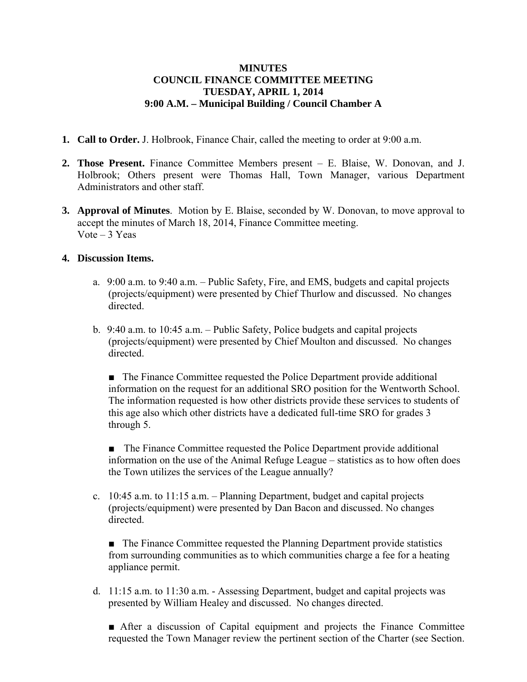## **MINUTES COUNCIL FINANCE COMMITTEE MEETING TUESDAY, APRIL 1, 2014 9:00 A.M. – Municipal Building / Council Chamber A**

- **1. Call to Order.** J. Holbrook, Finance Chair, called the meeting to order at 9:00 a.m.
- **2. Those Present.** Finance Committee Members present E. Blaise, W. Donovan, and J. Holbrook; Others present were Thomas Hall, Town Manager, various Department Administrators and other staff.
- **3. Approval of Minutes**. Motion by E. Blaise, seconded by W. Donovan, to move approval to accept the minutes of March 18, 2014, Finance Committee meeting. Vote – 3 Yeas

## **4. Discussion Items.**

- a. 9:00 a.m. to 9:40 a.m. Public Safety, Fire, and EMS, budgets and capital projects (projects/equipment) were presented by Chief Thurlow and discussed. No changes directed.
- b. 9:40 a.m. to 10:45 a.m. Public Safety, Police budgets and capital projects (projects/equipment) were presented by Chief Moulton and discussed. No changes directed.

■ The Finance Committee requested the Police Department provide additional information on the request for an additional SRO position for the Wentworth School. The information requested is how other districts provide these services to students of this age also which other districts have a dedicated full-time SRO for grades 3 through 5.

■ The Finance Committee requested the Police Department provide additional information on the use of the Animal Refuge League – statistics as to how often does the Town utilizes the services of the League annually?

c. 10:45 a.m. to 11:15 a.m. – Planning Department, budget and capital projects (projects/equipment) were presented by Dan Bacon and discussed. No changes directed.

■ The Finance Committee requested the Planning Department provide statistics from surrounding communities as to which communities charge a fee for a heating appliance permit.

d. 11:15 a.m. to 11:30 a.m. - Assessing Department, budget and capital projects was presented by William Healey and discussed. No changes directed.

■ After a discussion of Capital equipment and projects the Finance Committee requested the Town Manager review the pertinent section of the Charter (see Section.